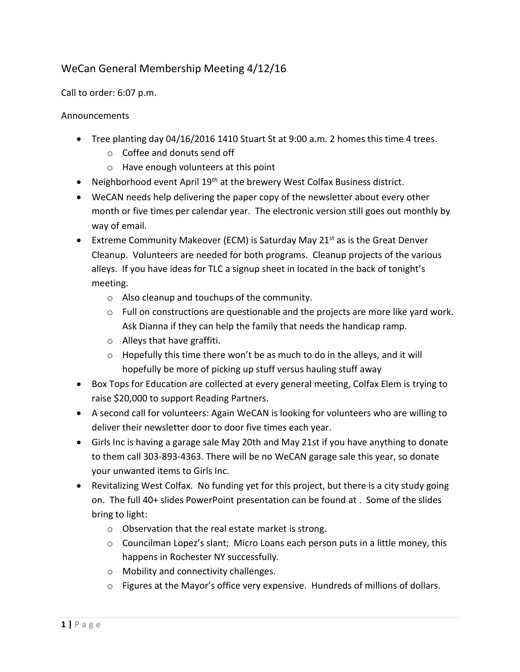## WeCan General Membership Meeting 4/12/16

Call to order: 6:07 p.m.

## Announcements

- Tree planting day 04/16/2016 1410 Stuart St at 9:00 a.m. 2 homes this time 4 trees.
	- o Coffee and donuts send off
	- o Have enough volunteers at this point
- Neighborhood event April  $19<sup>th</sup>$  at the brewery West Colfax Business district.
- WeCAN needs help delivering the paper copy of the newsletter about every other month or five times per calendar year. The electronic version still goes out monthly by way of email.
- Extreme Community Makeover (ECM) is Saturday May 21<sup>st</sup> as is the Great Denver Cleanup. Volunteers are needed for both programs. Cleanup projects of the various alleys. If you have ideas for TLC a signup sheet in located in the back of tonight's meeting.
	- o Also cleanup and touchups of the community.
	- $\circ$  Full on constructions are questionable and the projects are more like yard work. Ask Dianna if they can help the family that needs the handicap ramp.
	- o Alleys that have graffiti.
	- o Hopefully this time there won't be as much to do in the alleys, and it will hopefully be more of picking up stuff versus hauling stuff away
- Box Tops for Education are collected at every general meeting, Colfax Elem is trying to raise \$20,000 to support Reading Partners.
- A second call for volunteers: Again WeCAN is looking for volunteers who are willing to deliver their newsletter door to door five times each year.
- Girls Inc is having a garage sale May 20th and May 21st if you have anything to donate to them call 303-893-4363. There will be no WeCAN garage sale this year, so donate your unwanted items to Girls Inc.
- Revitalizing West Colfax. No funding yet for this project, but there is a city study going on. The full 40+ slides PowerPoint presentation can be found at . Some of the slides bring to light:
	- o Observation that the real estate market is strong.
	- $\circ$  Councilman Lopez's slant; Micro Loans each person puts in a little money, this happens in Rochester NY successfully.
	- o Mobility and connectivity challenges.
	- $\circ$  Figures at the Mayor's office very expensive. Hundreds of millions of dollars.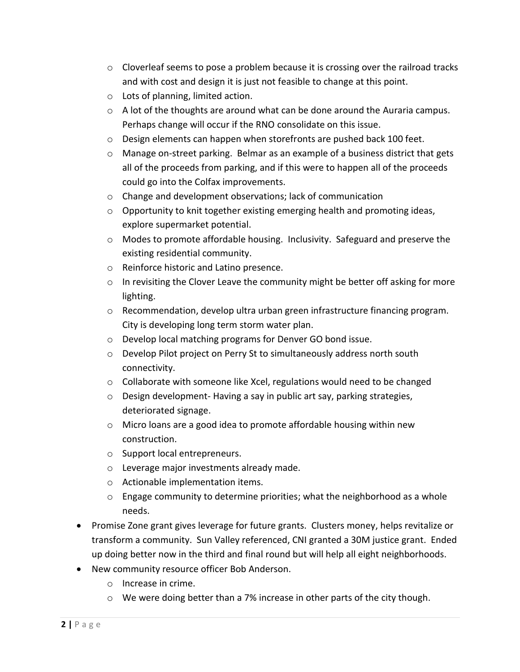- $\circ$  Cloverleaf seems to pose a problem because it is crossing over the railroad tracks and with cost and design it is just not feasible to change at this point.
- o Lots of planning, limited action.
- $\circ$  A lot of the thoughts are around what can be done around the Auraria campus. Perhaps change will occur if the RNO consolidate on this issue.
- o Design elements can happen when storefronts are pushed back 100 feet.
- o Manage on-street parking. Belmar as an example of a business district that gets all of the proceeds from parking, and if this were to happen all of the proceeds could go into the Colfax improvements.
- o Change and development observations; lack of communication
- $\circ$  Opportunity to knit together existing emerging health and promoting ideas, explore supermarket potential.
- $\circ$  Modes to promote affordable housing. Inclusivity. Safeguard and preserve the existing residential community.
- o Reinforce historic and Latino presence.
- $\circ$  In revisiting the Clover Leave the community might be better off asking for more lighting.
- $\circ$  Recommendation, develop ultra urban green infrastructure financing program. City is developing long term storm water plan.
- o Develop local matching programs for Denver GO bond issue.
- o Develop Pilot project on Perry St to simultaneously address north south connectivity.
- o Collaborate with someone like Xcel, regulations would need to be changed
- o Design development- Having a say in public art say, parking strategies, deteriorated signage.
- o Micro loans are a good idea to promote affordable housing within new construction.
- o Support local entrepreneurs.
- o Leverage major investments already made.
- o Actionable implementation items.
- o Engage community to determine priorities; what the neighborhood as a whole needs.
- Promise Zone grant gives leverage for future grants. Clusters money, helps revitalize or transform a community. Sun Valley referenced, CNI granted a 30M justice grant. Ended up doing better now in the third and final round but will help all eight neighborhoods.
- New community resource officer Bob Anderson.
	- o Increase in crime.
	- $\circ$  We were doing better than a 7% increase in other parts of the city though.